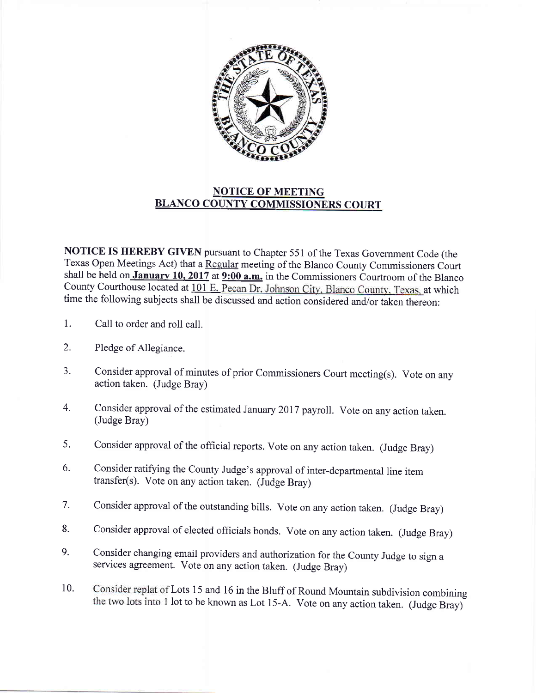

## NOTICE OF MEETING BLANCO COUNTY COMMISSIONERS COURT

NOTICE IS HEREBY GIVEN pursuant to Chapter 551 of the Texas Government Code (the Texas Open Meetings Act) that a Regular meeting of the Blanco County Commissioners Court shall be held on January 10, 2017 at  $9:00$  a.m. in the Commissioners Courtroom of the Blanco County Courthouse located at 101 E. Pecan Dr. Johnson City, Blanco County, Texas, at which time the following subjects shall be discussed and action considered and/or taken thereon:

- 1. Call to order and roll call.
- 2. Pledge of Allegiance.
- 3. Consider approval of minutes of prior Commissioners Court meeting(s). Vote on any action taken. (Judge Bray)
- 4- Consider approval of the estimated January 2017 payroll. Vote on any action taken. (Judge Bray)
- 5. Consider approval of the official reports. Vote on any action taken. (Judge Bray)
- 6. Consider ratifying the County Judge's approval of inter-departmental line item transfer(s). Vote on any action taken. (Judge Bray)
- 7. Consider approval of the outstanding bills. Vote on any action taken. (Judge Bray)
- 8. Consider approval of elected officials bonds. Vote on any action taken. (Judge Bray)
- 9. Consider changing email providers and authorization for the County Judge to sign a services agreement. Vote on any action taken. (Judge Bray)
- 10. Consider replat of Lots 15 and 16 in the Bluff of Round Mountain subdivision combining the two lots into 1 lot to be known as Lot 15-A. Vote on any action taken. (Judge Bray)